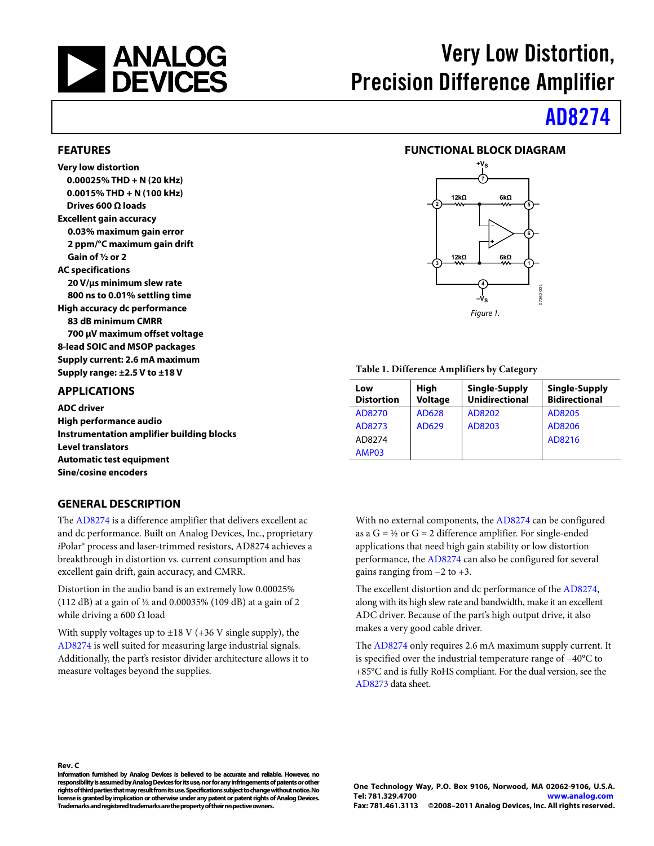<span id="page-0-0"></span>

# Very Low Distortion, Precision Difference Amplifier

# [AD8274](http://www.analog.com/AD8274)

## **FUNCTIONAL BLOCK DIAGRAM**



#### **Table 1. Difference Amplifiers by Category**

| Low<br><b>Distortion</b> | High<br><b>Voltage</b> | Single-Supply<br><b>Unidirectional</b> | Single-Supply<br><b>Bidirectional</b> |
|--------------------------|------------------------|----------------------------------------|---------------------------------------|
| AD8270                   | AD628                  | AD8202                                 | AD8205                                |
| AD8273                   | AD629                  | AD8203                                 | AD8206                                |
| AD8274                   |                        |                                        | AD8216                                |
| AMP03                    |                        |                                        |                                       |

With no external components, the [AD8274 c](http://www.analog.com/AD8274)an be configured as a  $G = \frac{1}{2}$  or  $G = 2$  difference amplifier. For single-ended applications that need high gain stability or low distortion performance, th[e AD8274](http://www.analog.com/AD8274) can also be configured for several gains ranging from  $-2$  to  $+3$ .

The excellent distortion and dc performance of the [AD8274,](http://www.analog.com/AD8274)  along with its high slew rate and bandwidth, make it an excellent ADC driver. Because of the part's high output drive, it also makes a very good cable driver.

The [AD8274](http://www.analog.com/AD8274) only requires 2.6 mA maximum supply current. It is specified over the industrial temperature range of −40°C to +85°C and is fully RoHS compliant. For the dual version, see the [AD8273](http://www.analog.com/AD8273) data sheet.

### **FEATURES**

**Very low distortion 0.00025% THD + N (20 kHz) 0.0015% THD + N (100 kHz) Drives 600 Ω loads Excellent gain accuracy 0.03% maximum gain error 2 ppm/°C maximum gain drift Gain of ½ or 2 AC specifications 20 V/μs minimum slew rate 800 ns to 0.01% settling time High accuracy dc performance 83 dB minimum CMRR 700 μV maximum offset voltage 8-lead SOIC and MSOP packages Supply current: 2.6 mA maximum Supply range: ±2.5 V to ±18 V** 

### **APPLICATIONS**

**Rev. C** 

**ADC driver High performance audio Instrumentation amplifier building blocks Level translators Automatic test equipment Sine/cosine encoders** 

### **GENERAL DESCRIPTION**

The [AD8274](http://www.analog.com/AD8274) is a difference amplifier that delivers excellent ac and dc performance. Built on Analog Devices, Inc., proprietary *i*Polar® process and laser-trimmed resistors, AD8274 achieves a breakthrough in distortion vs. current consumption and has excellent gain drift, gain accuracy, and CMRR.

Distortion in the audio band is an extremely low 0.00025% (112 dB) at a gain of ½ and 0.00035% (109 dB) at a gain of 2 while driving a 600  $\Omega$  load

With supply voltages up to  $\pm 18$  V (+36 V single supply), the [AD8274](http://www.analog.com/AD8274) is well suited for measuring large industrial signals. Additionally, the part's resistor divider architecture allows it to measure voltages beyond the supplies.

**Information furnished by Analog Devices is believed to be accurate and reliable. However, no responsibility is assumed by Analog Devices for its use, nor for any infringements of patents or other rights of third parties that may result from its use. Specifications subject to change without notice. No license is granted by implication or otherwise under any patent or patent rights of Analog Devices. Trademarks and registered trademarks are the property of their respective owners.**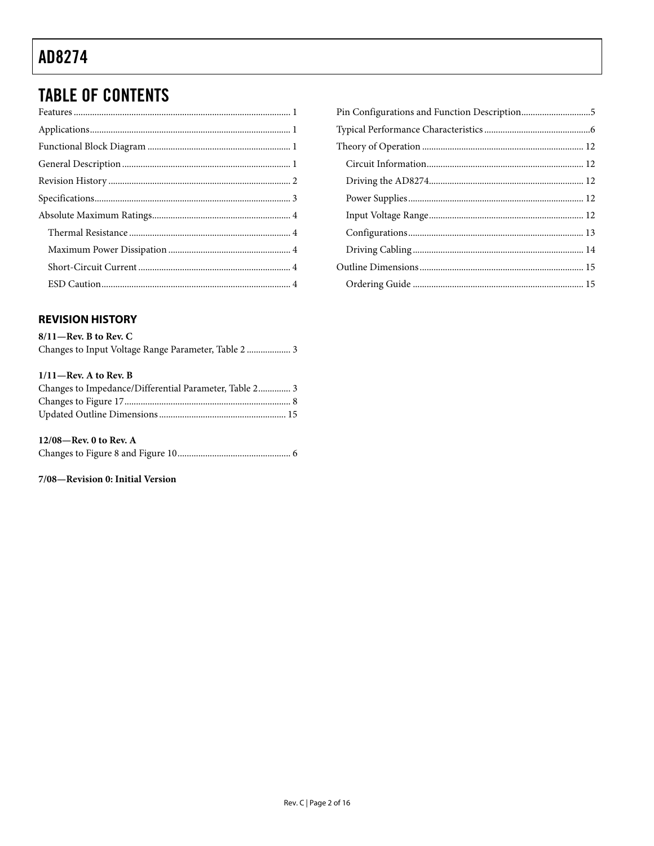# <span id="page-1-0"></span>**TABLE OF CONTENTS**

## **REVISION HISTORY**

| $8/11$ —Rev. B to Rev. C |  |
|--------------------------|--|
|                          |  |

### $1/11$ -Rev. A to Rev. B

| Changes to Impedance/Differential Parameter, Table 2 3 |  |
|--------------------------------------------------------|--|
|                                                        |  |
|                                                        |  |

### 12/08—Rev. 0 to Rev.  $A$

### 7/08-Revision 0: Initial Version

| Pin Configurations and Function Description5 |  |
|----------------------------------------------|--|
|                                              |  |
|                                              |  |
|                                              |  |
|                                              |  |
|                                              |  |
|                                              |  |
|                                              |  |
|                                              |  |
|                                              |  |
|                                              |  |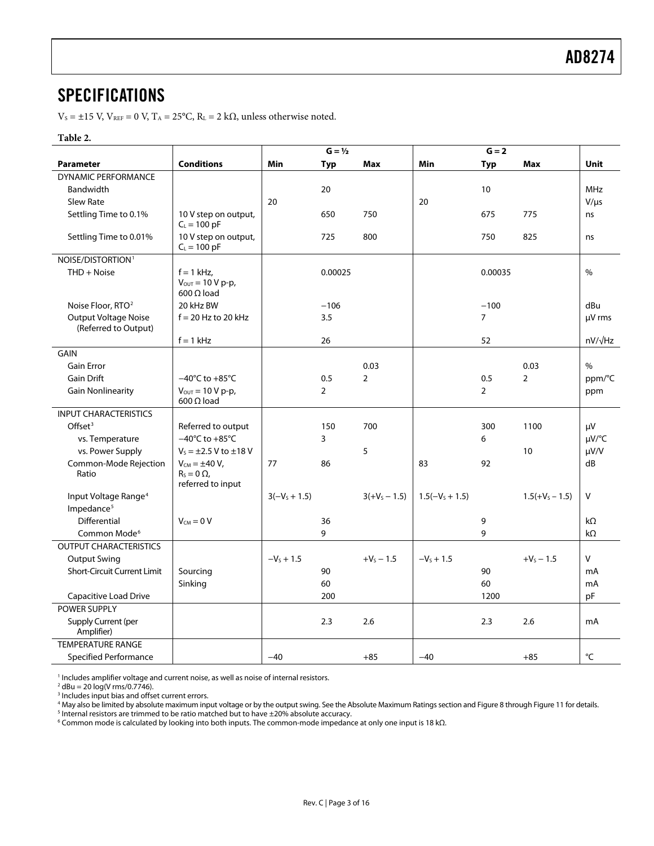## <span id="page-2-0"></span>SPECIFICATIONS

 $V_s = \pm 15$  V,  $V_{REF} = 0$  V,  $T_A = 25$ °C,  $R_L = 2$  k $\Omega$ , unless otherwise noted.

#### **Table 2.**

<span id="page-2-1"></span>

|                                                     |                                                                      |              | $G = \frac{1}{2}$ |                 |                   | $G = 2$        |                   |                |
|-----------------------------------------------------|----------------------------------------------------------------------|--------------|-------------------|-----------------|-------------------|----------------|-------------------|----------------|
| <b>Parameter</b>                                    | <b>Conditions</b>                                                    | Min          | <b>Typ</b>        | Max             | Min               | <b>Typ</b>     | Max               | <b>Unit</b>    |
| <b>DYNAMIC PERFORMANCE</b>                          |                                                                      |              |                   |                 |                   |                |                   |                |
| Bandwidth                                           |                                                                      |              | 20                |                 |                   | 10             |                   | <b>MHz</b>     |
| <b>Slew Rate</b>                                    |                                                                      | 20           |                   |                 | 20                |                |                   | $V/\mu s$      |
| Settling Time to 0.1%                               | 10 V step on output,<br>$C_L = 100$ pF                               |              | 650               | 750             |                   | 675            | 775               | ns             |
| Settling Time to 0.01%                              | 10 V step on output,<br>$C_L = 100$ pF                               |              | 725               | 800             |                   | 750            | 825               | ns             |
| NOISE/DISTORTION <sup>1</sup>                       |                                                                      |              |                   |                 |                   |                |                   |                |
| THD + Noise                                         | $f = 1$ kHz,<br>$V_{\text{OUT}} = 10 V p - p$ ,<br>$600 \Omega$ load |              | 0.00025           |                 |                   | 0.00035        |                   | %              |
| Noise Floor, RTO <sup>2</sup>                       | 20 kHz BW                                                            |              | $-106$            |                 |                   | $-100$         |                   | dBu            |
| <b>Output Voltage Noise</b><br>(Referred to Output) | $f = 20$ Hz to 20 kHz                                                |              | 3.5               |                 |                   | $\overline{7}$ |                   | µV rms         |
|                                                     | $f = 1$ kHz                                                          |              | 26                |                 |                   | 52             |                   | $nV/\sqrt{Hz}$ |
| <b>GAIN</b>                                         |                                                                      |              |                   |                 |                   |                |                   |                |
| <b>Gain Error</b>                                   |                                                                      |              |                   | 0.03            |                   |                | 0.03              | $\%$           |
| <b>Gain Drift</b>                                   | $-40^{\circ}$ C to $+85^{\circ}$ C                                   |              | 0.5               | $\overline{2}$  |                   | 0.5            | 2                 | ppm/°C         |
| <b>Gain Nonlinearity</b>                            | $V_{\text{OUT}} = 10 V p-p$ ,<br>600 $\Omega$ load                   |              | $\overline{2}$    |                 |                   | $\overline{2}$ |                   | ppm            |
| <b>INPUT CHARACTERISTICS</b>                        |                                                                      |              |                   |                 |                   |                |                   |                |
| Offset <sup>3</sup>                                 | Referred to output                                                   |              | 150               | 700             |                   | 300            | 1100              | μV             |
| vs. Temperature                                     | $-40^{\circ}$ C to $+85^{\circ}$ C                                   |              | 3                 |                 |                   | 6              |                   | µV/°C          |
| vs. Power Supply                                    | $V_s = \pm 2.5$ V to $\pm 18$ V                                      |              |                   | 5               |                   |                | 10                | $\mu V/V$      |
| Common-Mode Rejection<br>Ratio                      | $V_{CM} = \pm 40 V$ ,<br>$R_s = 0 \Omega$<br>referred to input       | 77           | 86                |                 | 83                | 92             |                   | dB             |
| Input Voltage Range <sup>4</sup>                    |                                                                      | $3(-Vs+1.5)$ |                   | $3(+V_5 - 1.5)$ | $1.5(-V_s + 1.5)$ |                | $1.5(+V_5 - 1.5)$ | V              |
| Impedance <sup>5</sup>                              |                                                                      |              |                   |                 |                   |                |                   |                |
| Differential                                        | $V_{CM} = 0 V$                                                       |              | 36                |                 |                   | 9              |                   | $k\Omega$      |
| Common Mode <sup>6</sup>                            |                                                                      |              | 9                 |                 |                   | 9              |                   | $k\Omega$      |
| <b>OUTPUT CHARACTERISTICS</b>                       |                                                                      |              |                   |                 |                   |                |                   |                |
| <b>Output Swing</b>                                 |                                                                      | $-V_s + 1.5$ |                   | $+V_5 - 1.5$    | $-V_s + 1.5$      |                | $+V_5 - 1.5$      | v              |
| <b>Short-Circuit Current Limit</b>                  | Sourcing                                                             |              | 90                |                 |                   | 90             |                   | mA             |
|                                                     | Sinking                                                              |              | 60                |                 |                   | 60             |                   | mA             |
| Capacitive Load Drive                               |                                                                      |              | 200               |                 |                   | 1200           |                   | pF             |
| POWER SUPPLY                                        |                                                                      |              |                   |                 |                   |                |                   |                |
| Supply Current (per<br>Amplifier)                   |                                                                      |              | 2.3               | 2.6             |                   | 2.3            | 2.6               | mA             |
| <b>TEMPERATURE RANGE</b>                            |                                                                      |              |                   |                 |                   |                |                   |                |
| <b>Specified Performance</b>                        |                                                                      | $-40$        |                   | $+85$           | $-40$             |                | $+85$             | °C             |

<sup>1</sup> Includes amplifier voltage and current noise, as well as noise of internal resistors.<br><sup>2</sup> dBu = 20 log(V rms/0.7746).

 $^3$  Includes input bias and offset current errors.<br> $^4$  May also be limited by absolute maximum inn

4 May also be limited by absolute maximum input voltage or by the output swing. See the [Absolute Maximum Ratings section a](#page-3-1)n[d Figure 8 through](#page-5-1) [Figure 11 f](#page-6-0)or details.

 $5$  Internal resistors are trimmed to be ratio matched but to have  $\pm 20$ % absolute accuracy.

Common mode is calculated by looking into both inputs. The common-mode impedance at only one input is 18 kΩ.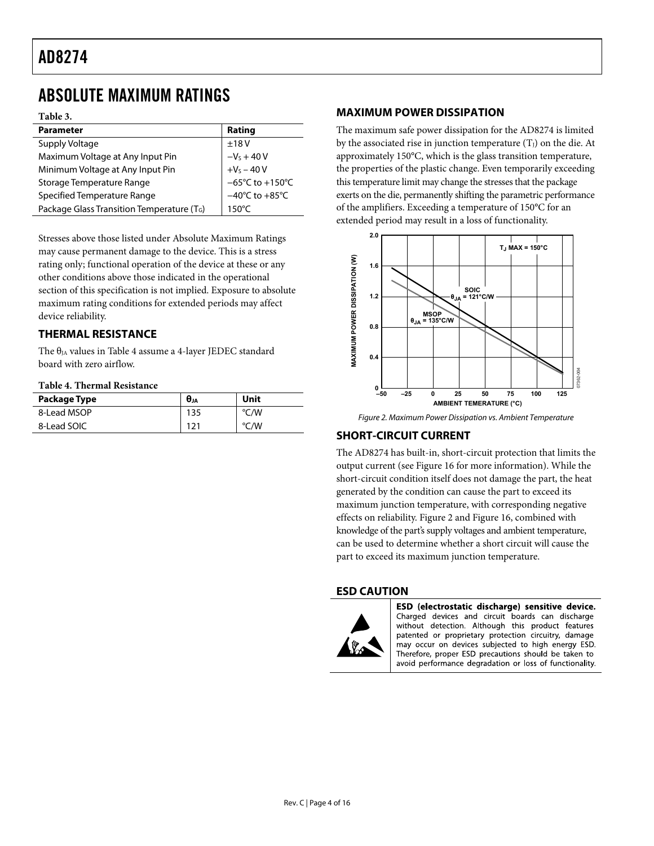# <span id="page-3-1"></span><span id="page-3-0"></span>ABSOLUTE MAXIMUM RATINGS

**Table 3.** 

| <b>Parameter</b>                                       | Rating                               |
|--------------------------------------------------------|--------------------------------------|
| Supply Voltage                                         | ±18V                                 |
| Maximum Voltage at Any Input Pin                       | $-VS + 40 V$                         |
| Minimum Voltage at Any Input Pin                       | $+V_S - 40V$                         |
| Storage Temperature Range                              | $-65^{\circ}$ C to +150 $^{\circ}$ C |
| Specified Temperature Range                            | $-40^{\circ}$ C to $+85^{\circ}$ C   |
| Package Glass Transition Temperature (T <sub>G</sub> ) | $150^{\circ}$ C                      |

Stresses above those listed under Absolute Maximum Ratings may cause permanent damage to the device. This is a stress rating only; functional operation of the device at these or any other conditions above those indicated in the operational section of this specification is not implied. Exposure to absolute maximum rating conditions for extended periods may affect device reliability.

### **THERMAL RESISTANCE**

The  $\theta_{JA}$  values in [Table 4](#page-3-2) assume a 4-layer JEDEC standard board with zero airflow.

### **Table 4. Thermal Resistance**

<span id="page-3-3"></span><span id="page-3-2"></span>

| Package Type | $\bm{\theta}_{JA}$ | Unit |
|--------------|--------------------|------|
| 8-Lead MSOP  | 135                | °C/W |
| 8-Lead SOIC  | 121                | °C/W |

### **MAXIMUM POWER DISSIPATION**

The maximum safe power dissipation for the AD8274 is limited by the associated rise in junction temperature  $(T<sub>J</sub>)$  on the die. At approximately 150°C, which is the glass transition temperature, the properties of the plastic change. Even temporarily exceeding this temperature limit may change the stresses that the package exerts on the die, permanently shifting the parametric performance of the amplifiers. Exceeding a temperature of 150°C for an extended period may result in a loss of functionality.



Figure 2. Maximum Power Dissipation vs. Ambient Temperature

## **SHORT-CIRCUIT CURRENT**

The AD8274 has built-in, short-circuit protection that limits the output current (see [Figure 16](#page-6-1) for more information). While the short-circuit condition itself does not damage the part, the heat generated by the condition can cause the part to exceed its maximum junction temperature, with corresponding negative effects on reliability. [Figure 2](#page-3-3) and [Figure 16](#page-6-1), combined with knowledge of the part's supply voltages and ambient temperature, can be used to determine whether a short circuit will cause the part to exceed its maximum junction temperature.

### **ESD CAUTION**



ESD (electrostatic discharge) sensitive device. Charged devices and circuit boards can discharge without detection. Although this product features patented or proprietary protection circuitry, damage may occur on devices subjected to high energy ESD. Therefore, proper ESD precautions should be taken to avoid performance degradation or loss of functionality.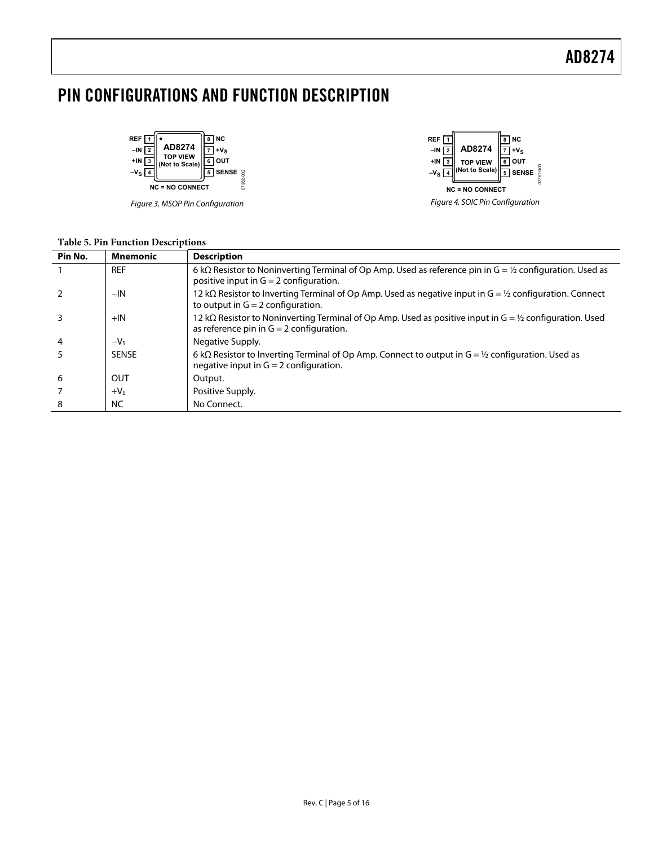# <span id="page-4-0"></span>PIN CONFIGURATIONS AND FUNCTION DESCRIPTION



Figure 3. MSOP Pin Configuration



| Pin No.        | <b>Mnemonic</b> | <b>Description</b>                                                                                                                                               |
|----------------|-----------------|------------------------------------------------------------------------------------------------------------------------------------------------------------------|
|                | <b>REF</b>      | 6 k $\Omega$ Resistor to Noninverting Terminal of Op Amp. Used as reference pin in G = 1/2 configuration. Used as<br>positive input in $G = 2$ configuration.    |
|                | $-IN$           | 12 k $\Omega$ Resistor to Inverting Terminal of Op Amp. Used as negative input in G = 1/2 configuration. Connect<br>to output in $G = 2$ configuration.          |
|                | $+IN$           | 12 k $\Omega$ Resistor to Noninverting Terminal of Op Amp. Used as positive input in G = ½ configuration. Used<br>as reference pin in $G = 2$ configuration.     |
| $\overline{4}$ | $-VS$           | Negative Supply.                                                                                                                                                 |
|                | <b>SENSE</b>    | 6 k $\Omega$ Resistor to Inverting Terminal of Op Amp. Connect to output in G = $\frac{1}{2}$ configuration. Used as<br>negative input in $G = 2$ configuration. |
| 6              | OUT             | Output.                                                                                                                                                          |
|                | $+V5$           | Positive Supply.                                                                                                                                                 |
| 8              | <b>NC</b>       | No Connect.                                                                                                                                                      |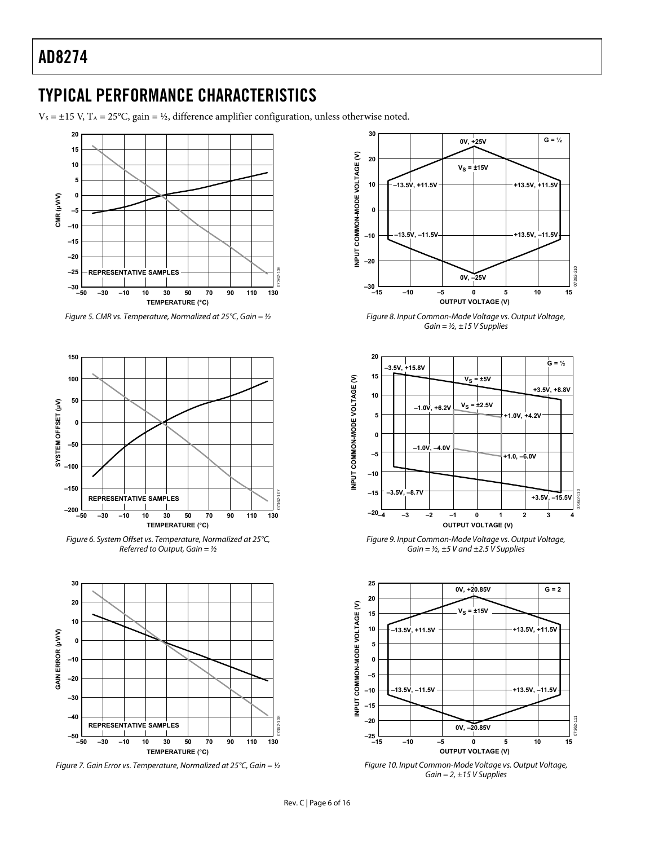# <span id="page-5-1"></span><span id="page-5-0"></span>TYPICAL PERFORMANCE CHARACTERISTICS

 $V_s = \pm 15$  V, T<sub>A</sub> = 25°C, gain = ½, difference amplifier configuration, unless otherwise noted.



Figure 5. CMR vs. Temperature, Normalized at 25°C, Gain =  $1/2$ 



Figure 6. System Offset vs. Temperature, Normalized at 25°C, Referred to Output, Gain =  $1/2$ 



Figure 7. Gain Error vs. Temperature, Normalized at 25°C, Gain =  $1/2$ 



Figure 8. Input Common-Mode Voltage vs. Output Voltage, Gain =  $\frac{1}{2}$ , ±15 V Supplies



Figure 9. Input Common-Mode Voltage vs. Output Voltage, Gain =  $\frac{1}{2}$ , ±5 V and ±2.5 V Supplies



Figure 10. Input Common-Mode Voltage vs. Output Voltage, Gain =  $2, ±15$  V Supplies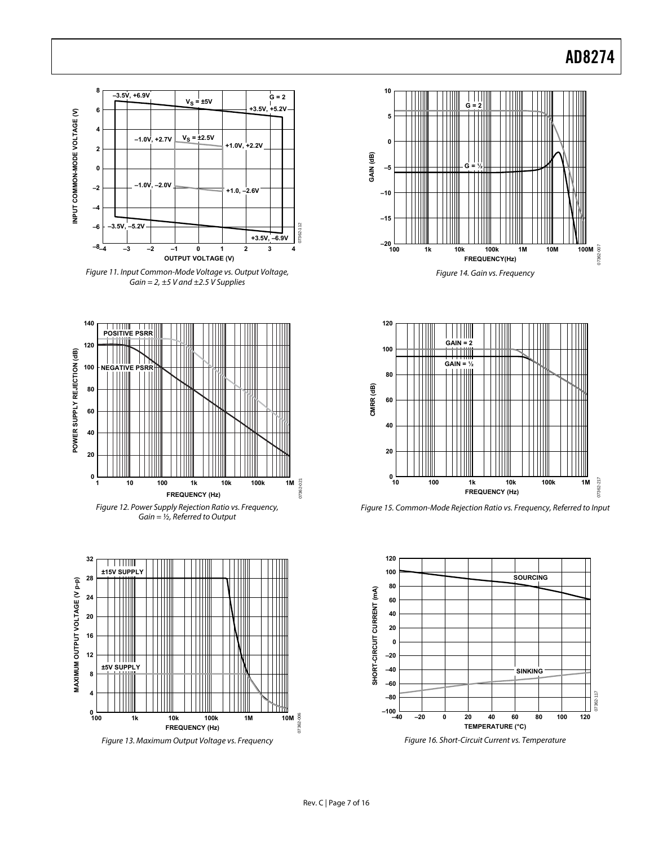<span id="page-6-0"></span>

Figure 11. Input Common-Mode Voltage vs. Output Voltage, Gain =  $2, \pm 5$  V and  $\pm 2.5$  V Supplies



Figure 12. Power Supply Rejection Ratio vs. Frequency,  $Gain = ½$ , Referred to Output



<span id="page-6-1"></span>Figure 13. Maximum Output Voltage vs. Frequency





Figure 15. Common-Mode Rejection Ratio vs. Frequency, Referred to Input



Figure 16. Short-Circuit Current vs. Temperature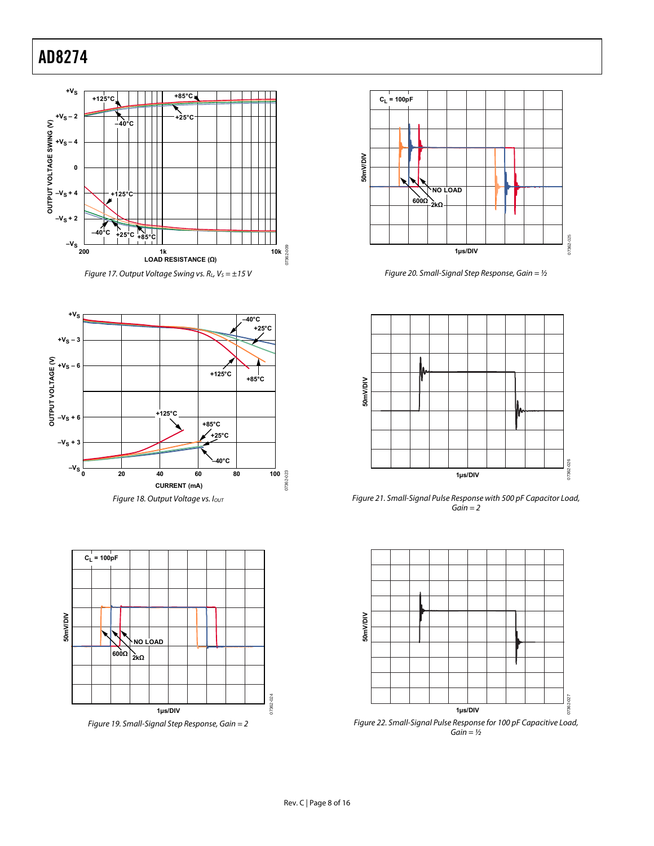







Figure 19. Small-Signal Step Response, Gain = 2



Figure 20. Small-Signal Step Response, Gain =  $1/2$ 



Figure 21. Small-Signal Pulse Response with 500 pF Capacitor Load,  $Gain = 2$ 



Figure 22. Small-Signal Pulse Response for 100 pF Capacitive Load,  $Gain = ½$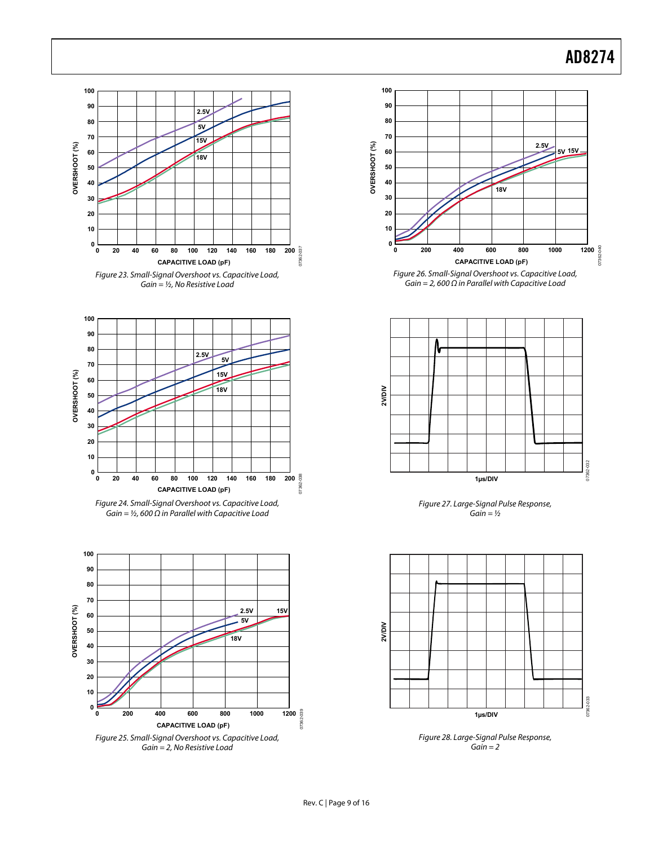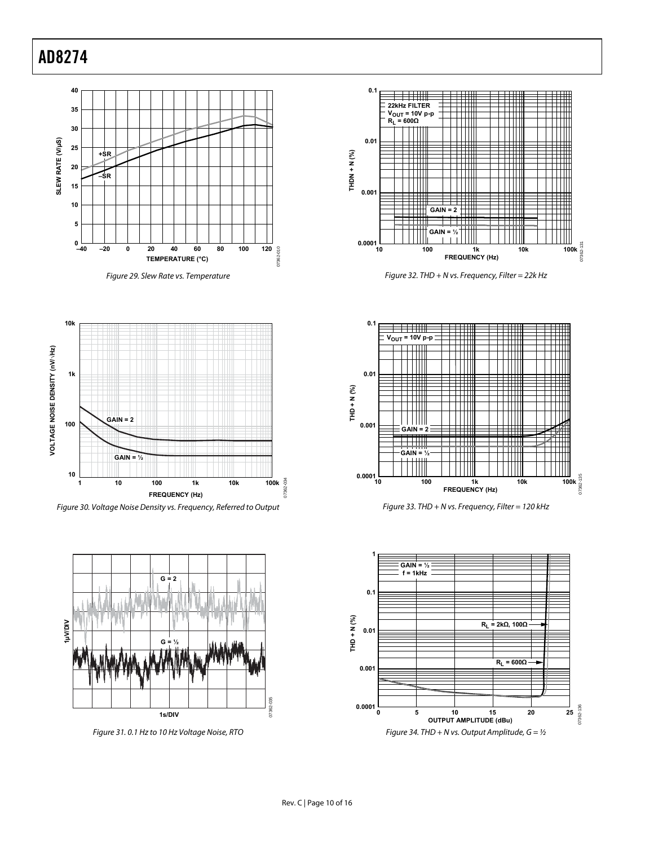



Figure 32. THD + N vs. Frequency, Filter = 22k Hz









Figure 30. Voltage Noise Density vs. Frequency, Referred to Output



Figure 31. 0.1 Hz to 10 Hz Voltage Noise, RTO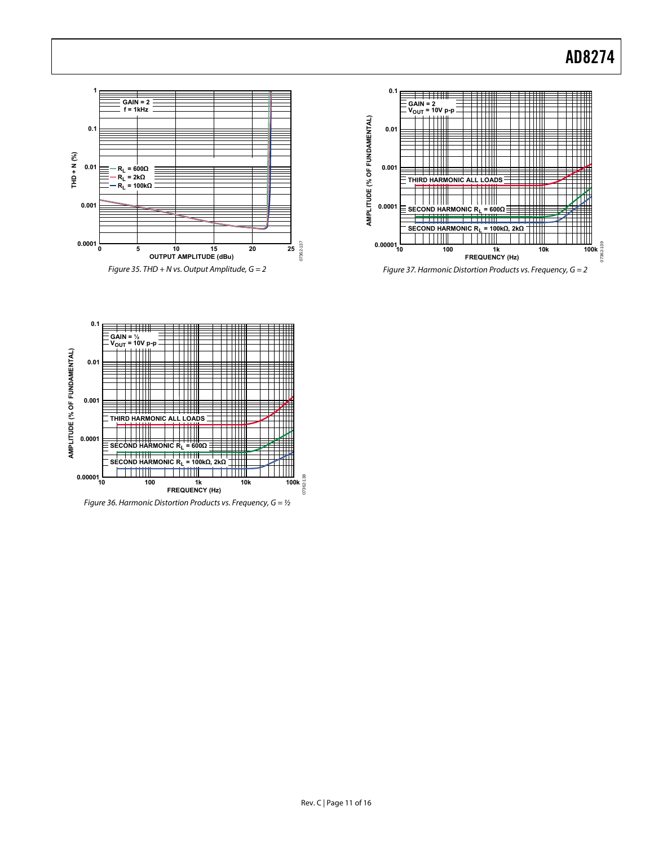



Figure 37. Harmonic Distortion Products vs. Frequency, G = 2



Figure 36. Harmonic Distortion Products vs. Frequency,  $G = \frac{1}{2}$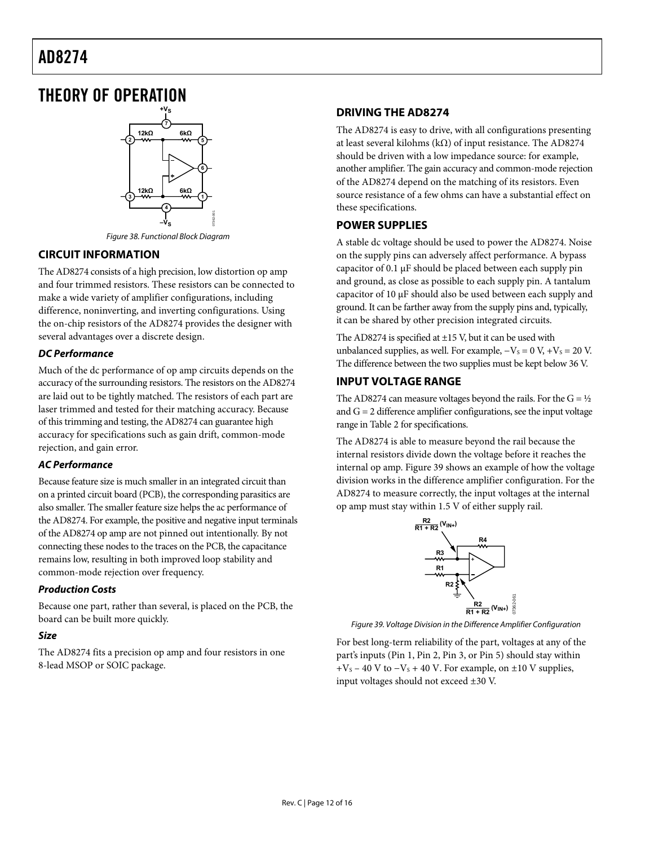# <span id="page-11-0"></span>THEORY OF OPERATION



Figure 38. Functional Block Diagram

## **CIRCUIT INFORMATION**

The AD8274 consists of a high precision, low distortion op amp and four trimmed resistors. These resistors can be connected to make a wide variety of amplifier configurations, including difference, noninverting, and inverting configurations. Using the on-chip resistors of the AD8274 provides the designer with several advantages over a discrete design.

## **DC Performance**

Much of the dc performance of op amp circuits depends on the accuracy of the surrounding resistors. The resistors on the AD8274 are laid out to be tightly matched. The resistors of each part are laser trimmed and tested for their matching accuracy. Because of this trimming and testing, the AD8274 can guarantee high accuracy for specifications such as gain drift, common-mode rejection, and gain error.

### **AC Performance**

Because feature size is much smaller in an integrated circuit than on a printed circuit board (PCB), the corresponding parasitics are also smaller. The smaller feature size helps the ac performance of the AD8274. For example, the positive and negative input terminals of the AD8274 op amp are not pinned out intentionally. By not connecting these nodes to the traces on the PCB, the capacitance remains low, resulting in both improved loop stability and common-mode rejection over frequency.

### **Production Costs**

Because one part, rather than several, is placed on the PCB, the board can be built more quickly.

### <span id="page-11-1"></span>**Size**

The AD8274 fits a precision op amp and four resistors in one 8-lead MSOP or SOIC package.

## **DRIVING THE AD8274**

The AD8274 is easy to drive, with all configurations presenting at least several kilohms (kΩ) of input resistance. The AD8274 should be driven with a low impedance source: for example, another amplifier. The gain accuracy and common-mode rejection of the AD8274 depend on the matching of its resistors. Even source resistance of a few ohms can have a substantial effect on these specifications.

### **POWER SUPPLIES**

A stable dc voltage should be used to power the AD8274. Noise on the supply pins can adversely affect performance. A bypass capacitor of 0.1 μF should be placed between each supply pin and ground, as close as possible to each supply pin. A tantalum capacitor of 10 μF should also be used between each supply and ground. It can be farther away from the supply pins and, typically, it can be shared by other precision integrated circuits.

The AD8274 is specified at  $\pm$ 15 V, but it can be used with unbalanced supplies, as well. For example,  $-V<sub>S</sub> = 0$  V,  $+V<sub>S</sub> = 20$  V. The difference between the two supplies must be kept below 36 V.

## **INPUT VOLTAGE RANGE**

The AD8274 can measure voltages beyond the rails. For the  $G = \frac{1}{2}$ and  $G = 2$  difference amplifier configurations, see the input voltage range in [Table 2](#page-2-1) for specifications.

The AD8274 is able to measure beyond the rail because the internal resistors divide down the voltage before it reaches the internal op amp. [Figure 39](#page-11-1) shows an example of how the voltage division works in the difference amplifier configuration. For the AD8274 to measure correctly, the input voltages at the internal op amp must stay within 1.5 V of either supply rail.



Figure 39. Voltage Division in the Difference Amplifier Configuration

For best long-term reliability of the part, voltages at any of the part's inputs (Pin 1, Pin 2, Pin 3, or Pin 5) should stay within  $+V_s - 40$  V to  $-V_s + 40$  V. For example, on  $\pm 10$  V supplies, input voltages should not exceed ±30 V.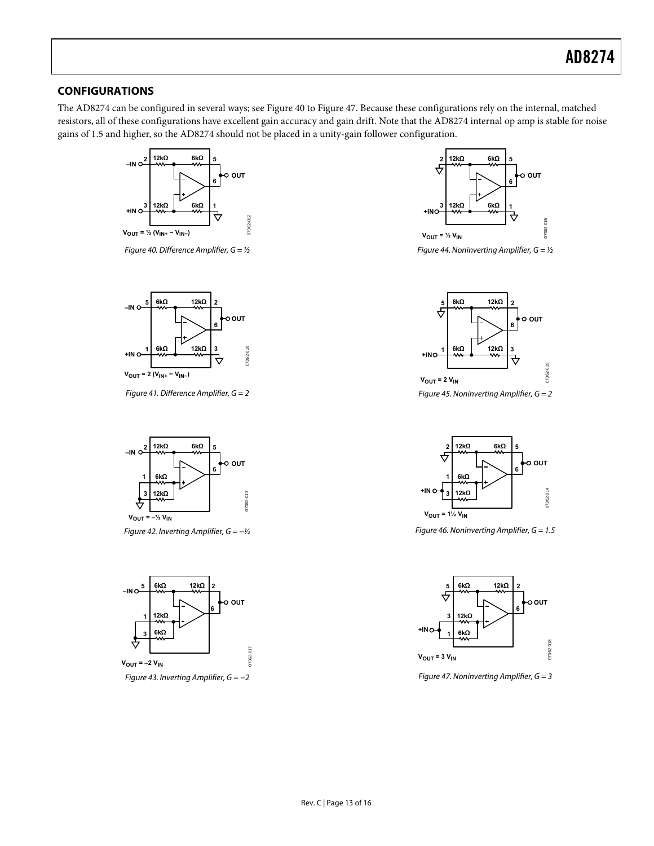### <span id="page-12-0"></span>**CONFIGURATIONS**

The AD8274 can be configured in several ways; see [Figure 40](#page-12-1) to [Figure 47](#page-12-2). Because these configurations rely on the internal, matched resistors, all of these configurations have excellent gain accuracy and gain drift. Note that the AD8274 internal op amp is stable for noise gains of 1.5 and higher, so the AD8274 should not be placed in a unity-gain follower configuration.



Figure 40. Difference Amplifier,  $G = \frac{1}{2}$ 

<span id="page-12-1"></span>

Figure 41. Difference Amplifier,  $G = 2$ 



Figure 42. Inverting Amplifier,  $G = -\frac{1}{2}$ 



<span id="page-12-2"></span>Figure 43. Inverting Amplifier,  $G = -2$ 



Figure 44. Noninverting Amplifier,  $G = \frac{1}{2}$ 



Figure 45. Noninverting Amplifier,  $G = 2$ 



Figure 46. Noninverting Amplifier,  $G = 1.5$ 



Figure 47. Noninverting Amplifier,  $G = 3$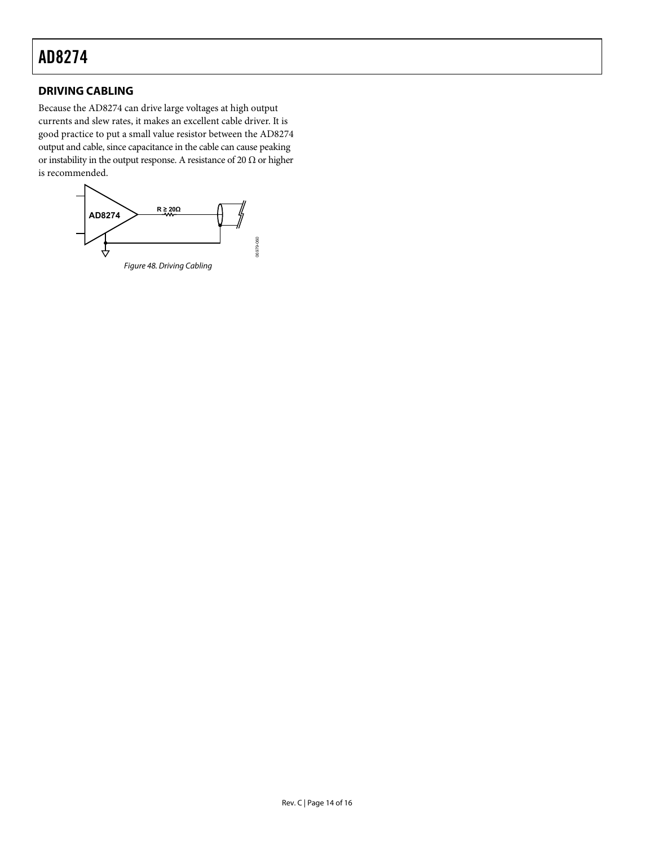## <span id="page-13-0"></span>**DRIVING CABLING**

Because the AD8274 can drive large voltages at high output currents and slew rates, it makes an excellent cable driver. It is good practice to put a small value resistor between the AD8274 output and cable, since capacitance in the cable can cause peaking or instability in the output response. A resistance of 20  $\Omega$  or higher is recommended.

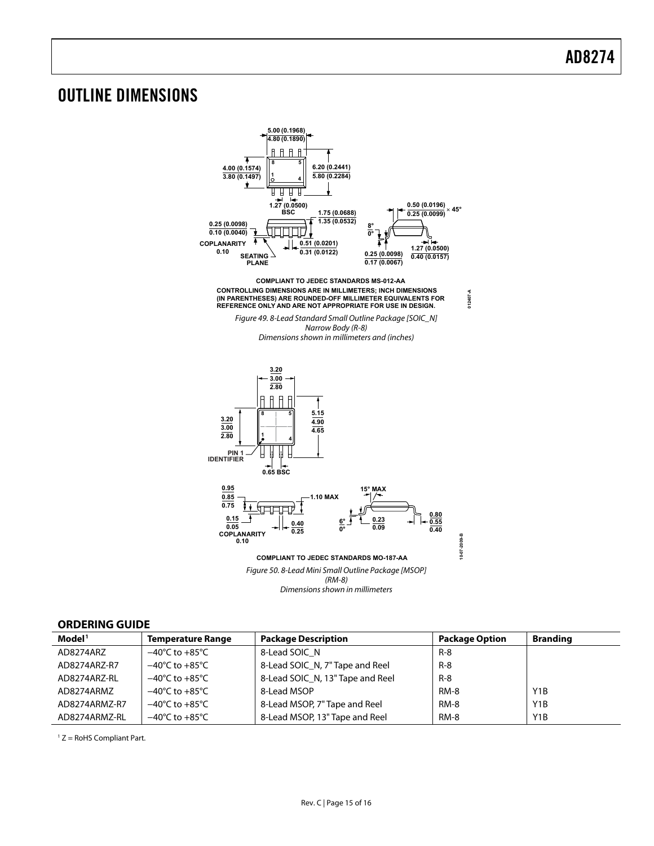# <span id="page-14-0"></span>OUTLINE DIMENSIONS



### **ORDERING GUIDE**

| Model <sup>1</sup> | <b>Temperature Range</b>           | <b>Package Description</b>       | <b>Package Option</b> | <b>Branding</b>  |
|--------------------|------------------------------------|----------------------------------|-----------------------|------------------|
| AD8274ARZ          | $-40^{\circ}$ C to $+85^{\circ}$ C | 8-Lead SOIC N                    | $R - 8$               |                  |
| AD8274ARZ-R7       | $-40^{\circ}$ C to $+85^{\circ}$ C | 8-Lead SOIC_N, 7" Tape and Reel  | $R - 8$               |                  |
| AD8274ARZ-RL       | $-40^{\circ}$ C to $+85^{\circ}$ C | 8-Lead SOIC N, 13" Tape and Reel | $R-8$                 |                  |
| AD8274ARMZ         | $-40^{\circ}$ C to $+85^{\circ}$ C | 8-Lead MSOP                      | RM-8                  | Y <sub>1</sub> B |
| AD8274ARMZ-R7      | $-40^{\circ}$ C to $+85^{\circ}$ C | 8-Lead MSOP, 7" Tape and Reel    | <b>RM-8</b>           | Y <sub>1</sub> B |
| AD8274ARMZ-RL      | $-40^{\circ}$ C to $+85^{\circ}$ C | 8-Lead MSOP, 13" Tape and Reel   | <b>RM-8</b>           | Y <sub>1</sub> B |

 $1 Z =$  RoHS Compliant Part.